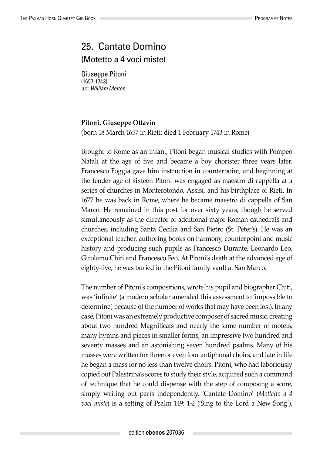## 25. Cantate Domino (Motetto a 4 voci miste)

Giuseppe Pitoni (1657-1743) *arr. William Melton*

## **Pitoni, Giuseppe Ottavio**

(born 18 March 1657 in Rieti; died 1 February 1743 in Rome)

Brought to Rome as an infant, Pitoni began musical studies with Pompeo Natali at the age of five and became a boy chorister three years later. Francesco Foggia gave him instruction in counterpoint, and beginning at the tender age of sixteen Pitoni was engaged as maestro di cappella at a series of churches in Monterotondo, Assisi, and his birthplace of Rieti. In 1677 he was back in Rome, where he became maestro di cappella of San Marco. He remained in this post for over sixty years, though he served simultaneously as the director of additional major Roman cathedrals and churches, including Santa Cecilia and San Pietro (St. Peter's). He was an exceptional teacher, authoring books on harmony, counterpoint and music history and producing such pupils as Francesco Durante, Leonardo Leo, Girolamo Chiti and Francesco Feo. At Pitoni's death at the advanced age of eighty-five, he was buried in the Pitoni family vault at San Marco.

The number of Pitoni's compositions, wrote his pupil and biographer Chiti, was 'infinite' (a modern scholar amended this assessment to 'impossible to determine', because of the number of works that may have been lost). In any case, Pitoni was an extremely productive composer of sacred music, creating about two hundred Magnificats and nearly the same number of motets, many hymns and pieces in smaller forms, an impressive two hundred and seventy masses and an astonishing seven hundred psalms. Many of his masses were written for three or even four antiphonal choirs, and late in life he began a mass for no less than twelve choirs. Pitoni, who had laboriously copied out Palestrina's scores to study their style, acquired such a command of technique that he could dispense with the step of composing a score, simply writing out parts independently. 'Cantate Domino' (*Mottetto a 4 voci miste*) is a setting of Psalm 149: 1-2 ('Sing to the Lord a New Song').